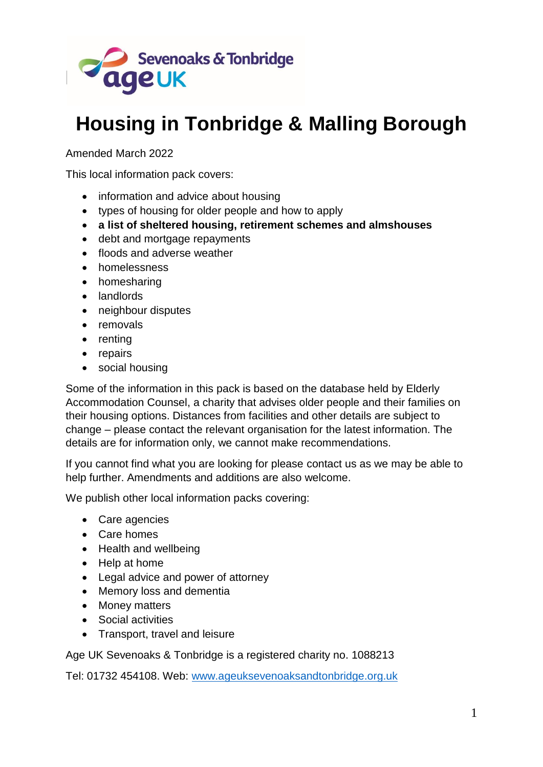

# **Housing in Tonbridge & Malling Borough**

Amended March 2022

This local information pack covers:

- information and advice about housing
- types of housing for older people and how to apply
- **a list of sheltered housing, retirement schemes and almshouses**
- debt and mortgage repayments
- floods and adverse weather
- homelessness
- homesharing
- landlords
- neighbour disputes
- removals
- renting
- repairs
- social housing

Some of the information in this pack is based on the database held by Elderly Accommodation Counsel, a charity that advises older people and their families on their housing options. Distances from facilities and other details are subject to change – please contact the relevant organisation for the latest information. The details are for information only, we cannot make recommendations.

If you cannot find what you are looking for please contact us as we may be able to help further. Amendments and additions are also welcome.

We publish other local information packs covering:

- Care agencies
- Care homes
- Health and wellbeing
- Help at home
- Legal advice and power of attorney
- Memory loss and dementia
- Money matters
- Social activities
- Transport, travel and leisure

Age UK Sevenoaks & Tonbridge is a registered charity no. 1088213

Tel: 01732 454108. Web: [www.ageuksevenoaksandtonbridge.org.uk](http://www.ageuksevenoaksandtonbridge.org.uk/)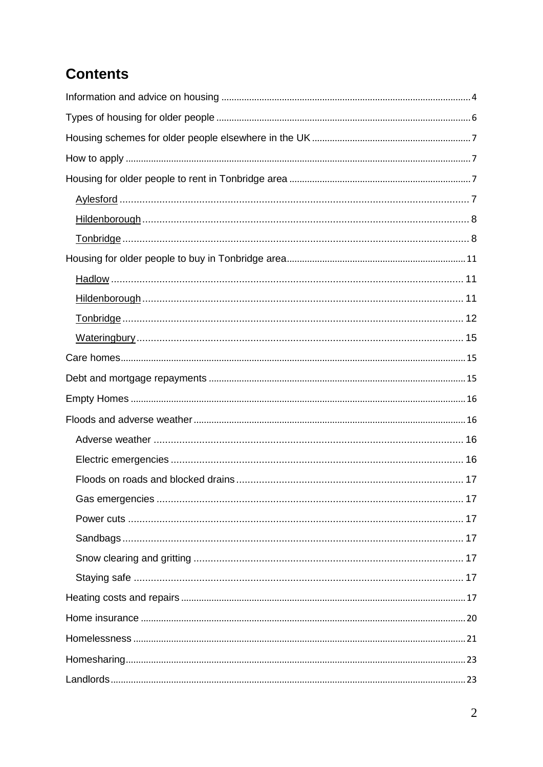# **Contents**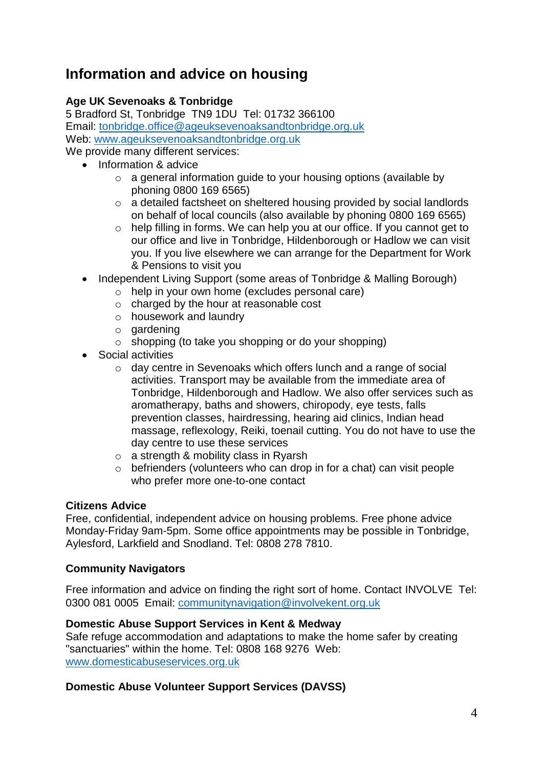# **Information and advice on housing**

# **Age UK Sevenoaks & Tonbridge**

5 Bradford St, Tonbridge TN9 1DU Tel: 01732 366100 Email: [tonbridge.office@ageuksevenoaksandtonbridge.org.uk](mailto:tonbridge.office@ageuksevenoaksandtonbridge.org.uk) Web: [www.ageuksevenoaksandtonbridge.org.uk](http://www.ageuksevenoaksandtonbridge.org.uk/) We provide many different services:

- Information & advice
	- o a general information guide to your housing options (available by phoning 0800 169 6565)
	- o a detailed factsheet on sheltered housing provided by social landlords on behalf of local councils (also available by phoning 0800 169 6565)
	- o help filling in forms. We can help you at our office. If you cannot get to our office and live in Tonbridge, Hildenborough or Hadlow we can visit you. If you live elsewhere we can arrange for the Department for Work & Pensions to visit you
	- Independent Living Support (some areas of Tonbridge & Malling Borough)
		- o help in your own home (excludes personal care)
		- o charged by the hour at reasonable cost
		- o housework and laundry
		- o gardening
		- o shopping (to take you shopping or do your shopping)
	- Social activities
		- o day centre in Sevenoaks which offers lunch and a range of social activities. Transport may be available from the immediate area of Tonbridge, Hildenborough and Hadlow. We also offer services such as aromatherapy, baths and showers, chiropody, eye tests, falls prevention classes, hairdressing, hearing aid clinics, Indian head massage, reflexology, Reiki, toenail cutting. You do not have to use the day centre to use these services
		- o a strength & mobility class in Ryarsh
		- $\circ$  befrienders (volunteers who can drop in for a chat) can visit people who prefer more one-to-one contact

### **Citizens Advice**

Free, confidential, independent advice on housing problems. Free phone advice Monday-Friday 9am-5pm. Some office appointments may be possible in Tonbridge, Aylesford, Larkfield and Snodland. Tel: 0808 278 7810.

### **Community Navigators**

Free information and advice on finding the right sort of home. Contact INVOLVE Tel: 0300 081 0005 Email: communitynavigation@involvekent.org.uk

### **Domestic Abuse Support Services in Kent & Medway**

Safe refuge accommodation and adaptations to make the home safer by creating "sanctuaries" within the home. Tel: 0808 168 9276 Web: www.domesticabuseservices.org.uk

### **Domestic Abuse Volunteer Support Services (DAVSS)**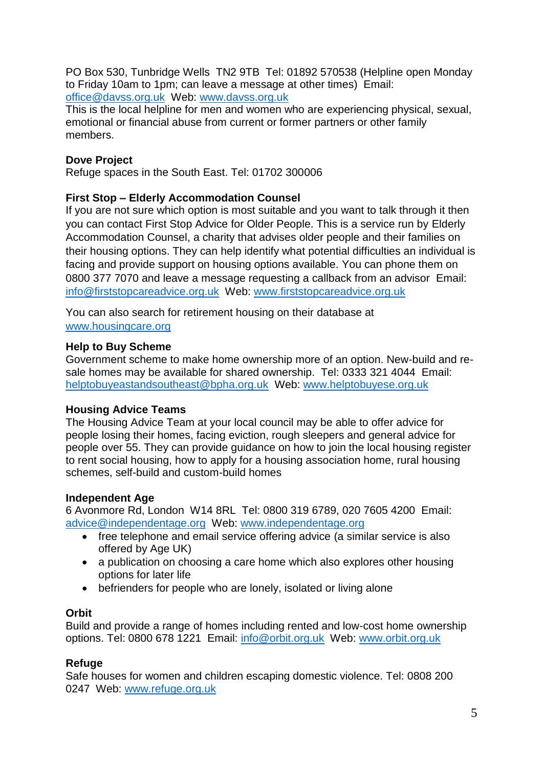PO Box 530, Tunbridge Wells TN2 9TB Tel: 01892 570538 (Helpline open Monday to Friday 10am to 1pm; can leave a message at other times) Email: office@davss.org.uk Web: www.davss.org.uk

This is the local helpline for men and women who are experiencing physical, sexual, emotional or financial abuse from current or former partners or other family members.

### **Dove Project**

Refuge spaces in the South East. Tel: 01702 300006

# **First Stop – Elderly Accommodation Counsel**

If you are not sure which option is most suitable and you want to talk through it then you can contact First Stop Advice for Older People. This is a service run by Elderly Accommodation Counsel, a charity that advises older people and their families on their housing options. They can help identify what potential difficulties an individual is facing and provide support on housing options available. You can phone them on 0800 377 7070 and leave a message requesting a callback from an advisor Email: [info@firststopcareadvice.org.uk](mailto:info@firststopadvice.org.uk) Web: [www.firststopcareadvice.org.uk](http://www.housingcare.org.uk/)

You can also search for retirement housing on their database at www.housingcare.org

### **Help to Buy Scheme**

Government scheme to make home ownership more of an option. New-build and resale homes may be available for shared ownership. Tel: 0333 321 4044 Email: helptobuyeastandsoutheast@bpha.org.uk Web: www.helptobuyese.org.uk

### **Housing Advice Teams**

The Housing Advice Team at your local council may be able to offer advice for people losing their homes, facing eviction, rough sleepers and general advice for people over 55. They can provide guidance on how to join the local housing register to rent social housing, how to apply for a housing association home, rural housing schemes, self-build and custom-build homes

### **Independent Age**

6 Avonmore Rd, London W14 8RL Tel: 0800 319 6789, 020 7605 4200 Email: [advice@independentage.org](mailto:advice@independentage.org) Web: [www.independentage.org](http://www.independentage.org/)

- free telephone and email service offering advice (a similar service is also offered by Age UK)
- a publication on choosing a care home which also explores other housing options for later life
- befrienders for people who are lonely, isolated or living alone

### **Orbit**

Build and provide a range of homes including rented and low-cost home ownership options. Tel: 0800 678 1221 Email: info@orbit.org.uk Web: www.orbit.org.uk

### **Refuge**

Safe houses for women and children escaping domestic violence. Tel: 0808 200 0247 Web: www.refuge.org.uk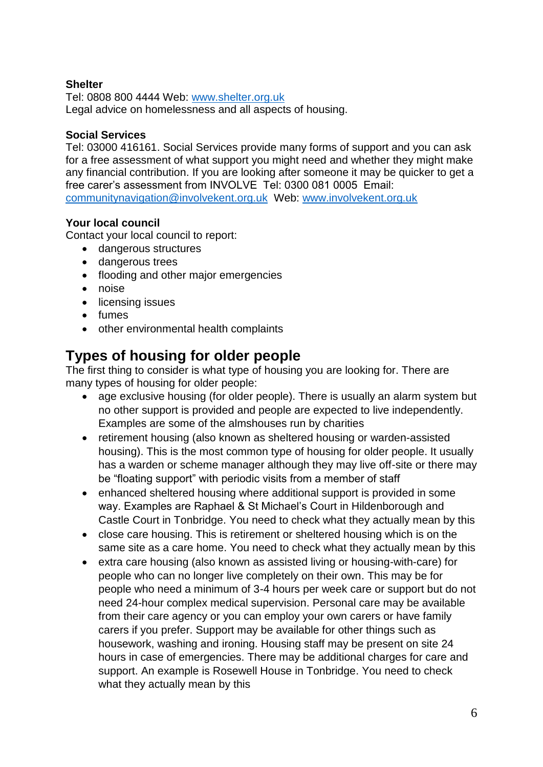### **Shelter**

Tel: 0808 800 4444 Web: [www.shelter.org.uk](http://www.shelter.org.uk/) Legal advice on homelessness and all aspects of housing.

#### **Social Services**

Tel: 03000 416161. Social Services provide many forms of support and you can ask for a free assessment of what support you might need and whether they might make any financial contribution. If you are looking after someone it may be quicker to get a free carer's assessment from INVOLVE Tel: 0300 081 0005 Email: [communitynavigation@involvekent.org.uk](mailto:communitynavigation@involvekent.org.uk) Web: [www.involvekent.org.uk](http://www.involvekent.org.uk/)

#### **Your local council**

Contact your local council to report:

- dangerous structures
- dangerous trees
- flooding and other major emergencies
- noise
- licensing issues
- fumes
- other environmental health complaints

# **Types of housing for older people**

The first thing to consider is what type of housing you are looking for. There are many types of housing for older people:

- age exclusive housing (for older people). There is usually an alarm system but no other support is provided and people are expected to live independently. Examples are some of the almshouses run by charities
- retirement housing (also known as sheltered housing or warden-assisted housing). This is the most common type of housing for older people. It usually has a warden or scheme manager although they may live off-site or there may be "floating support" with periodic visits from a member of staff
- enhanced sheltered housing where additional support is provided in some way. Examples are Raphael & St Michael's Court in Hildenborough and Castle Court in Tonbridge. You need to check what they actually mean by this
- close care housing. This is retirement or sheltered housing which is on the same site as a care home. You need to check what they actually mean by this
- extra care housing (also known as assisted living or housing-with-care) for people who can no longer live completely on their own. This may be for people who need a minimum of 3-4 hours per week care or support but do not need 24-hour complex medical supervision. Personal care may be available from their care agency or you can employ your own carers or have family carers if you prefer. Support may be available for other things such as housework, washing and ironing. Housing staff may be present on site 24 hours in case of emergencies. There may be additional charges for care and support. An example is Rosewell House in Tonbridge. You need to check what they actually mean by this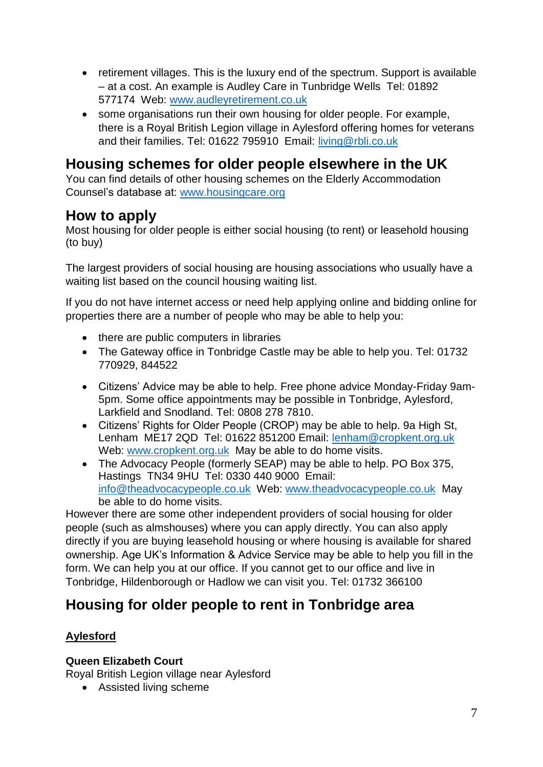- retirement villages. This is the luxury end of the spectrum. Support is available – at a cost. An example is Audley Care in Tunbridge Wells Tel: 01892 577174 Web: [www.audleyretirement.co.uk](http://www.audleyretirement.co.uk/)
- some organisations run their own housing for older people. For example, there is a Royal British Legion village in Aylesford offering homes for veterans and their families. Tel: 01622 795910 Email: living@rbli.co.uk

# **Housing schemes for older people elsewhere in the UK**

You can find details of other housing schemes on the Elderly Accommodation Counsel's database at: [www.housingcare.org](http://www.housingcare.org/)

# **How to apply**

Most housing for older people is either social housing (to rent) or leasehold housing (to buy)

The largest providers of social housing are housing associations who usually have a waiting list based on the council housing waiting list.

If you do not have internet access or need help applying online and bidding online for properties there are a number of people who may be able to help you:

- there are public computers in libraries
- The Gateway office in Tonbridge Castle may be able to help you. Tel: 01732 770929, 844522
- Citizens' Advice may be able to help. Free phone advice Monday-Friday 9am-5pm. Some office appointments may be possible in Tonbridge, Aylesford, Larkfield and Snodland. Tel: 0808 278 7810.
- Citizens' Rights for Older People (CROP) may be able to help. 9a High St, Lenham ME17 2QD Tel: 01622 851200 Email: [lenham@cropkent.org.uk](mailto:lenham@cropkent.org.uk)  Web: [www.cropkent.org.uk](http://www.cropkent.org.uk/) May be able to do home visits.
- The Advocacy People (formerly SEAP) may be able to help. PO Box 375, Hastings TN34 9HU Tel: 0330 440 9000 Email: [info@theadvocacypeople.co.uk](mailto:info@theadvocacypeople.co.uk) Web: [www.theadvocacypeople.co.uk](http://www.theadvocacypeople.co.uk/) May be able to do home visits.

However there are some other independent providers of social housing for older people (such as almshouses) where you can apply directly. You can also apply directly if you are buying leasehold housing or where housing is available for shared ownership. Age UK's Information & Advice Service may be able to help you fill in the form. We can help you at our office. If you cannot get to our office and live in Tonbridge, Hildenborough or Hadlow we can visit you. Tel: 01732 366100

# **Housing for older people to rent in Tonbridge area**

# **Aylesford**

# **Queen Elizabeth Court**

Royal British Legion village near Aylesford

Assisted living scheme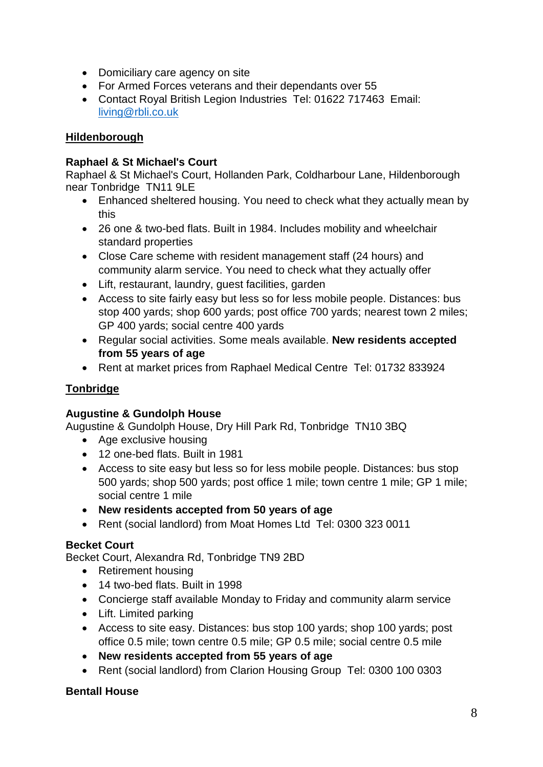- Domiciliary care agency on site
- For Armed Forces veterans and their dependants over 55
- Contact Royal British Legion Industries Tel: 01622 717463 Email: [living@rbli.co.uk](mailto:living@rbli.co.uk)

### **Hildenborough**

#### **Raphael & St Michael's Court**

Raphael & St Michael's Court, Hollanden Park, Coldharbour Lane, Hildenborough near Tonbridge TN11 9LE

- Enhanced sheltered housing. You need to check what they actually mean by this
- 26 one & two-bed flats. Built in 1984. Includes mobility and wheelchair standard properties
- Close Care scheme with resident management staff (24 hours) and community alarm service. You need to check what they actually offer
- Lift, restaurant, laundry, guest facilities, garden
- Access to site fairly easy but less so for less mobile people. Distances: bus stop 400 yards; shop 600 yards; post office 700 yards; nearest town 2 miles; GP 400 yards; social centre 400 yards
- Regular social activities. Some meals available. **New residents accepted from 55 years of age**
- Rent at market prices from Raphael Medical Centre Tel: 01732 833924

# **Tonbridge**

### **Augustine & Gundolph House**

Augustine & Gundolph House, Dry Hill Park Rd, Tonbridge TN10 3BQ

- Age exclusive housing
- 12 one-bed flats. Built in 1981
- Access to site easy but less so for less mobile people. Distances: bus stop 500 yards; shop 500 yards; post office 1 mile; town centre 1 mile; GP 1 mile; social centre 1 mile
- **New residents accepted from 50 years of age**
- Rent (social landlord) from Moat Homes Ltd Tel: 0300 323 0011

#### **Becket Court**

Becket Court, Alexandra Rd, Tonbridge TN9 2BD

- Retirement housing
- 14 two-bed flats. Built in 1998
- Concierge staff available Monday to Friday and community alarm service
- Lift. Limited parking
- Access to site easy. Distances: bus stop 100 yards; shop 100 yards; post office 0.5 mile; town centre 0.5 mile; GP 0.5 mile; social centre 0.5 mile
- **New residents accepted from 55 years of age**
- Rent (social landlord) from Clarion Housing Group Tel: 0300 100 0303

### **Bentall House**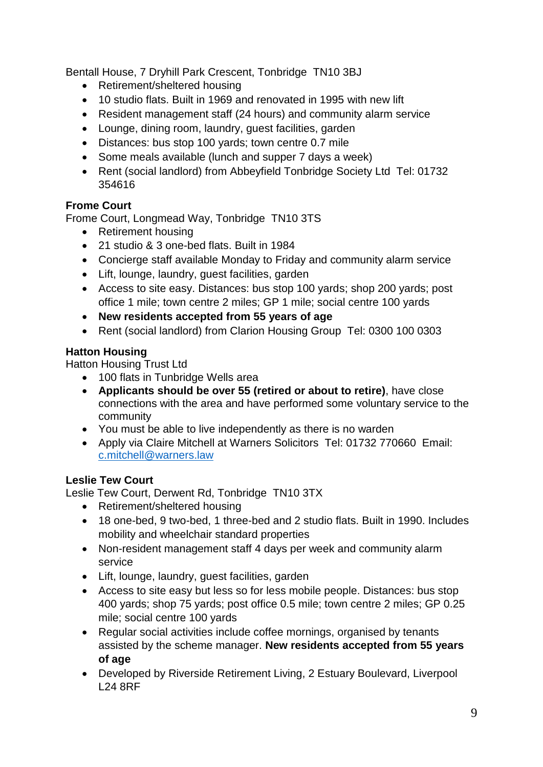Bentall House, 7 Dryhill Park Crescent, Tonbridge TN10 3BJ

- Retirement/sheltered housing
- 10 studio flats. Built in 1969 and renovated in 1995 with new lift
- Resident management staff (24 hours) and community alarm service
- Lounge, dining room, laundry, guest facilities, garden
- Distances: bus stop 100 yards; town centre 0.7 mile
- Some meals available (lunch and supper 7 days a week)
- Rent (social landlord) from Abbeyfield Tonbridge Society Ltd Tel: 01732 354616

# **Frome Court**

Frome Court, Longmead Way, Tonbridge TN10 3TS

- Retirement housing
- 21 studio & 3 one-bed flats. Built in 1984
- Concierge staff available Monday to Friday and community alarm service
- Lift, lounge, laundry, guest facilities, garden
- Access to site easy. Distances: bus stop 100 yards; shop 200 yards; post office 1 mile; town centre 2 miles; GP 1 mile; social centre 100 yards
- **New residents accepted from 55 years of age**
- Rent (social landlord) from Clarion Housing Group Tel: 0300 100 0303

# **Hatton Housing**

Hatton Housing Trust Ltd

- 100 flats in Tunbridge Wells area
- **Applicants should be over 55 (retired or about to retire)**, have close connections with the area and have performed some voluntary service to the community
- You must be able to live independently as there is no warden
- Apply via Claire Mitchell at Warners Solicitors Tel: 01732 770660 Email: [c.mitchell@warners.law](mailto:c.mitchell@warners.law)

# **Leslie Tew Court**

Leslie Tew Court, Derwent Rd, Tonbridge TN10 3TX

- Retirement/sheltered housing
- 18 one-bed, 9 two-bed, 1 three-bed and 2 studio flats. Built in 1990. Includes mobility and wheelchair standard properties
- Non-resident management staff 4 days per week and community alarm service
- Lift, lounge, laundry, guest facilities, garden
- Access to site easy but less so for less mobile people. Distances: bus stop 400 yards; shop 75 yards; post office 0.5 mile; town centre 2 miles; GP 0.25 mile; social centre 100 yards
- Regular social activities include coffee mornings, organised by tenants assisted by the scheme manager. **New residents accepted from 55 years of age**
- Developed by [Riverside](http://www.riverside.org.uk/) Retirement Living, 2 Estuary Boulevard, Liverpool L24 8RF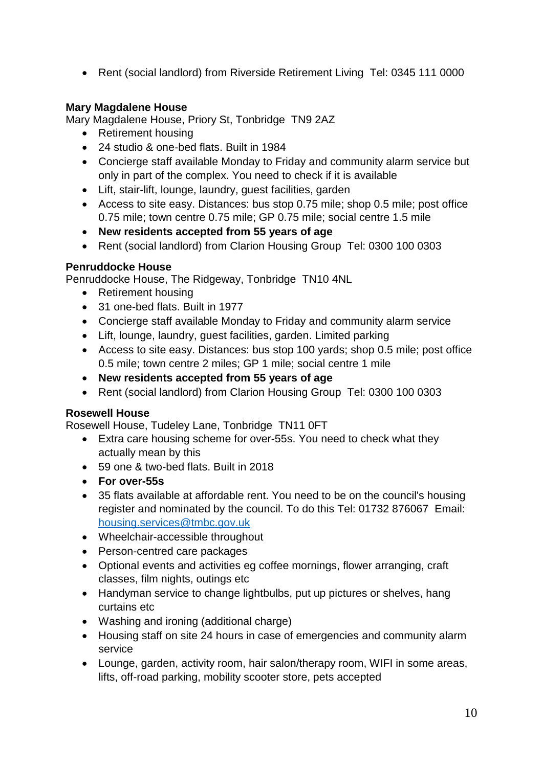• Rent (social landlord) from Riverside Retirement Living Tel: 0345 111 0000

### **Mary Magdalene House**

Mary Magdalene House, Priory St, Tonbridge TN9 2AZ

- Retirement housing
- 24 studio & one-bed flats. Built in 1984
- Concierge staff available Monday to Friday and community alarm service but only in part of the complex. You need to check if it is available
- Lift, stair-lift, lounge, laundry, guest facilities, garden
- Access to site easy. Distances: bus stop 0.75 mile; shop 0.5 mile; post office 0.75 mile; town centre 0.75 mile; GP 0.75 mile; social centre 1.5 mile
- **New residents accepted from 55 years of age**
- Rent (social landlord) from Clarion Housing Group Tel: 0300 100 0303

# **Penruddocke House**

Penruddocke House, The Ridgeway, Tonbridge TN10 4NL

- Retirement housing
- 31 one-bed flats. Built in 1977
- Concierge staff available Monday to Friday and community alarm service
- Lift, lounge, laundry, guest facilities, garden. Limited parking
- Access to site easy. Distances: bus stop 100 yards; shop 0.5 mile; post office 0.5 mile; town centre 2 miles; GP 1 mile; social centre 1 mile
- **New residents accepted from 55 years of age**
- Rent (social landlord) from Clarion Housing Group Tel: 0300 100 0303

### **Rosewell House**

Rosewell House, Tudeley Lane, Tonbridge TN11 0FT

- Extra care housing scheme for over-55s. You need to check what they actually mean by this
- 59 one & two-bed flats. Built in 2018
- **For over-55s**
- 35 flats available at affordable rent. You need to be on the council's housing register and nominated by the council. To do this Tel: 01732 876067 Email: [housing.services@tmbc.gov.uk](mailto:housing.services@tmbc.gov.uk)
- Wheelchair-accessible throughout
- Person-centred care packages
- Optional events and activities eg coffee mornings, flower arranging, craft classes, film nights, outings etc
- Handyman service to change lightbulbs, put up pictures or shelves, hang curtains etc
- Washing and ironing (additional charge)
- Housing staff on site 24 hours in case of emergencies and community alarm service
- Lounge, garden, activity room, hair salon/therapy room, WIFI in some areas, lifts, off-road parking, mobility scooter store, pets accepted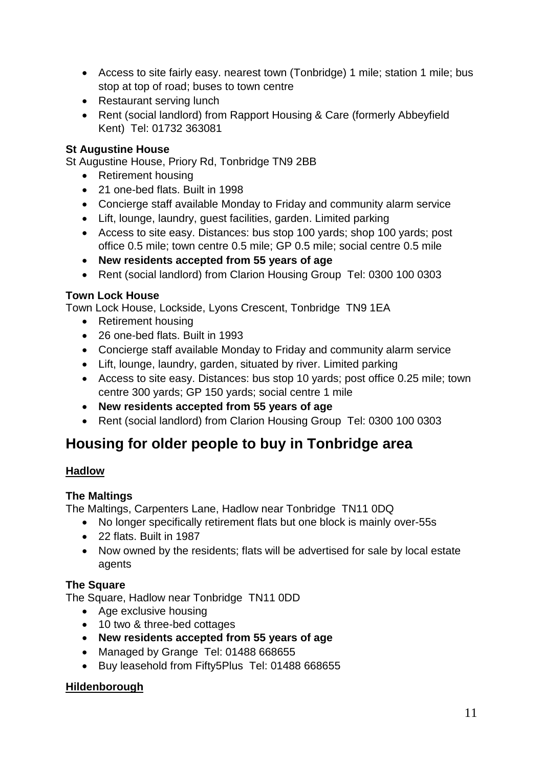- Access to site fairly easy. nearest town (Tonbridge) 1 mile; station 1 mile; bus stop at top of road; buses to town centre
- Restaurant serving lunch
- Rent (social landlord) from Rapport Housing & Care (formerly Abbeyfield Kent) Tel: 01732 363081

# **St Augustine House**

St Augustine House, Priory Rd, Tonbridge TN9 2BB

- Retirement housing
- 21 one-bed flats. Built in 1998
- Concierge staff available Monday to Friday and community alarm service
- Lift, lounge, laundry, guest facilities, garden. Limited parking
- Access to site easy. Distances: bus stop 100 yards; shop 100 yards; post office 0.5 mile; town centre 0.5 mile; GP 0.5 mile; social centre 0.5 mile
- **New residents accepted from 55 years of age**
- Rent (social landlord) from Clarion Housing Group Tel: 0300 100 0303

# **Town Lock House**

Town Lock House, Lockside, Lyons Crescent, Tonbridge TN9 1EA

- Retirement housing
- 26 one-bed flats. Built in 1993
- Concierge staff available Monday to Friday and community alarm service
- Lift, lounge, laundry, garden, situated by river. Limited parking
- Access to site easy. Distances: bus stop 10 yards; post office 0.25 mile; town centre 300 yards; GP 150 yards; social centre 1 mile
- **New residents accepted from 55 years of age**
- Rent (social landlord) from Clarion Housing Group Tel: 0300 100 0303

# **Housing for older people to buy in Tonbridge area**

### **Hadlow**

### **The Maltings**

The Maltings, Carpenters Lane, Hadlow near Tonbridge TN11 0DQ

- No longer specifically retirement flats but one block is mainly over-55s
- 22 flats. Built in 1987
- Now owned by the residents; flats will be advertised for sale by local estate agents

# **The Square**

The Square, Hadlow near Tonbridge TN11 0DD

- Age exclusive housing
- 10 two & three-bed cottages
- **New residents accepted from 55 years of age**
- Managed by Grange Tel: 01488 668655
- Buy leasehold from Fifty5Plus Tel: 01488 668655

### **Hildenborough**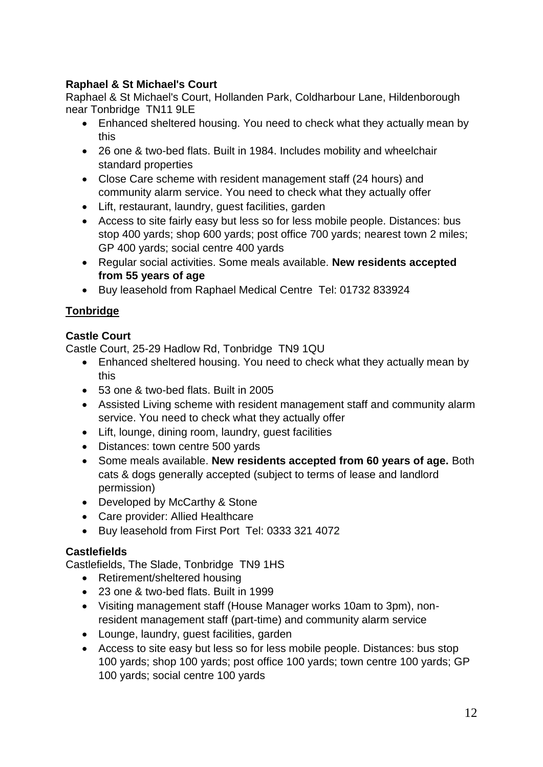# **Raphael & St Michael's Court**

Raphael & St Michael's Court, Hollanden Park, Coldharbour Lane, Hildenborough near Tonbridge TN11 9LE

- Enhanced sheltered housing. You need to check what they actually mean by this
- 26 one & two-bed flats. Built in 1984. Includes mobility and wheelchair standard properties
- Close Care scheme with resident management staff (24 hours) and community alarm service. You need to check what they actually offer
- Lift, restaurant, laundry, guest facilities, garden
- Access to site fairly easy but less so for less mobile people. Distances: bus stop 400 yards; shop 600 yards; post office 700 yards; nearest town 2 miles; GP 400 yards; social centre 400 yards
- Regular social activities. Some meals available. **New residents accepted from 55 years of age**
- Buy leasehold from Raphael Medical Centre Tel: 01732 833924

# **Tonbridge**

# **Castle Court**

Castle Court, 25-29 Hadlow Rd, Tonbridge TN9 1QU

- Enhanced sheltered housing. You need to check what they actually mean by this
- 53 one & two-bed flats. Built in 2005
- Assisted Living scheme with resident management staff and community alarm service. You need to check what they actually offer
- Lift, lounge, dining room, laundry, quest facilities
- Distances: town centre 500 vards
- Some meals available. **New residents accepted from 60 years of age.** Both cats & dogs generally accepted (subject to terms of lease and landlord permission)
- Developed by [McCarthy & Stone](http://www.mccarthyandstone.co.uk/)
- Care provider: Allied Healthcare
- Buy leasehold from First Port Tel: 0333 321 4072

### **Castlefields**

Castlefields, The Slade, Tonbridge TN9 1HS

- Retirement/sheltered housing
- 23 one & two-bed flats. Built in 1999
- Visiting management staff (House Manager works 10am to 3pm), nonresident management staff (part-time) and community alarm service
- Lounge, laundry, guest facilities, garden
- Access to site easy but less so for less mobile people. Distances: bus stop 100 yards; shop 100 yards; post office 100 yards; town centre 100 yards; GP 100 yards; social centre 100 yards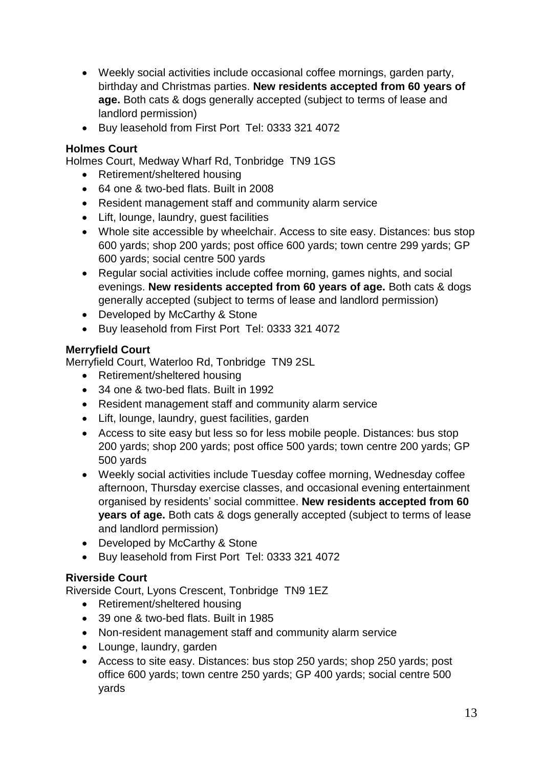- Weekly social activities include occasional coffee mornings, garden party, birthday and Christmas parties. **New residents accepted from 60 years of age.** Both cats & dogs generally accepted (subject to terms of lease and landlord permission)
- Buy leasehold from First Port Tel: 0333 321 4072

### **Holmes Court**

Holmes Court, Medway Wharf Rd, Tonbridge TN9 1GS

- Retirement/sheltered housing
- 64 one & two-bed flats. Built in 2008
- Resident management staff and community alarm service
- Lift, lounge, laundry, guest facilities
- Whole site accessible by wheelchair. Access to site easy. Distances: bus stop 600 yards; shop 200 yards; post office 600 yards; town centre 299 yards; GP 600 yards; social centre 500 yards
- Regular social activities include coffee morning, games nights, and social evenings. **New residents accepted from 60 years of age.** Both cats & dogs generally accepted (subject to terms of lease and landlord permission)
- Developed by [McCarthy & Stone](http://www.mccarthyandstone.co.uk/)
- Buy leasehold from First Port Tel: 0333 321 4072

# **Merryfield Court**

Merryfield Court, Waterloo Rd, Tonbridge TN9 2SL

- Retirement/sheltered housing
- 34 one & two-bed flats. Built in 1992
- Resident management staff and community alarm service
- Lift, lounge, laundry, guest facilities, garden
- Access to site easy but less so for less mobile people. Distances: bus stop 200 yards; shop 200 yards; post office 500 yards; town centre 200 yards; GP 500 yards
- Weekly social activities include Tuesday coffee morning, Wednesday coffee afternoon, Thursday exercise classes, and occasional evening entertainment organised by residents' social committee. **New residents accepted from 60 years of age.** Both cats & dogs generally accepted (subject to terms of lease and landlord permission)
- Developed by [McCarthy & Stone](http://www.mccarthyandstone.co.uk/)
- Buy leasehold from First Port Tel: 0333 321 4072

### **Riverside Court**

Riverside Court, Lyons Crescent, Tonbridge TN9 1EZ

- Retirement/sheltered housing
- 39 one & two-bed flats. Built in 1985
- Non-resident management staff and community alarm service
- Lounge, laundry, garden
- Access to site easy. Distances: bus stop 250 yards; shop 250 yards; post office 600 yards; town centre 250 yards; GP 400 yards; social centre 500 yards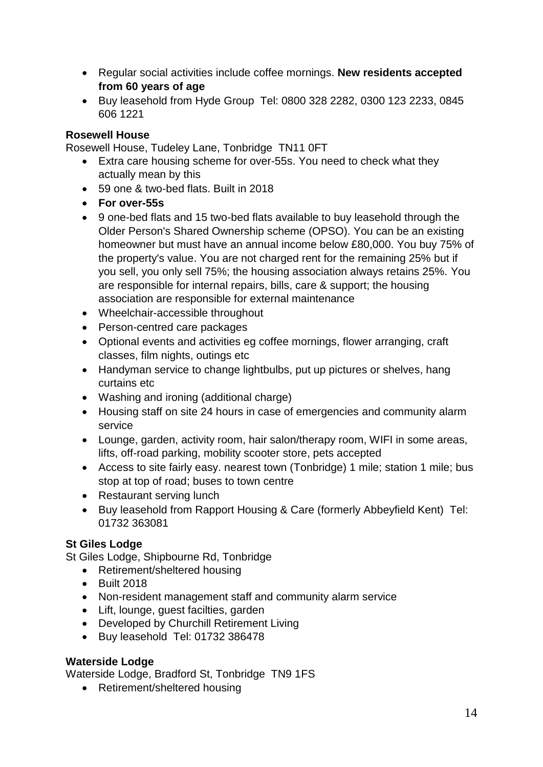- Regular social activities include coffee mornings. **New residents accepted from 60 years of age**
- Buy leasehold from Hyde Group Tel: 0800 328 2282, 0300 123 2233, 0845 606 1221

### **Rosewell House**

Rosewell House, Tudeley Lane, Tonbridge TN11 0FT

- Extra care housing scheme for over-55s. You need to check what they actually mean by this
- 59 one & two-bed flats. Built in 2018
- **For over-55s**
- 9 one-bed flats and 15 two-bed flats available to buy leasehold through the Older Person's Shared Ownership scheme (OPSO). You can be an existing homeowner but must have an annual income below £80,000. You buy 75% of the property's value. You are not charged rent for the remaining 25% but if you sell, you only sell 75%; the housing association always retains 25%. You are responsible for internal repairs, bills, care & support; the housing association are responsible for external maintenance
- Wheelchair-accessible throughout
- Person-centred care packages
- Optional events and activities eg coffee mornings, flower arranging, craft classes, film nights, outings etc
- Handyman service to change lightbulbs, put up pictures or shelves, hang curtains etc
- Washing and ironing (additional charge)
- Housing staff on site 24 hours in case of emergencies and community alarm service
- Lounge, garden, activity room, hair salon/therapy room, WIFI in some areas, lifts, off-road parking, mobility scooter store, pets accepted
- Access to site fairly easy. nearest town (Tonbridge) 1 mile; station 1 mile; bus stop at top of road; buses to town centre
- Restaurant serving lunch
- Buy leasehold from Rapport Housing & Care (formerly Abbeyfield Kent) Tel: 01732 363081

### **St Giles Lodge**

St Giles Lodge, Shipbourne Rd, Tonbridge

- Retirement/sheltered housing
- **•** Built 2018
- Non-resident management staff and community alarm service
- Lift, lounge, quest facilties, garden
- Developed by Churchill Retirement Living
- Buy leasehold Tel: 01732 386478

### **Waterside Lodge**

Waterside Lodge, Bradford St, Tonbridge TN9 1FS

• Retirement/sheltered housing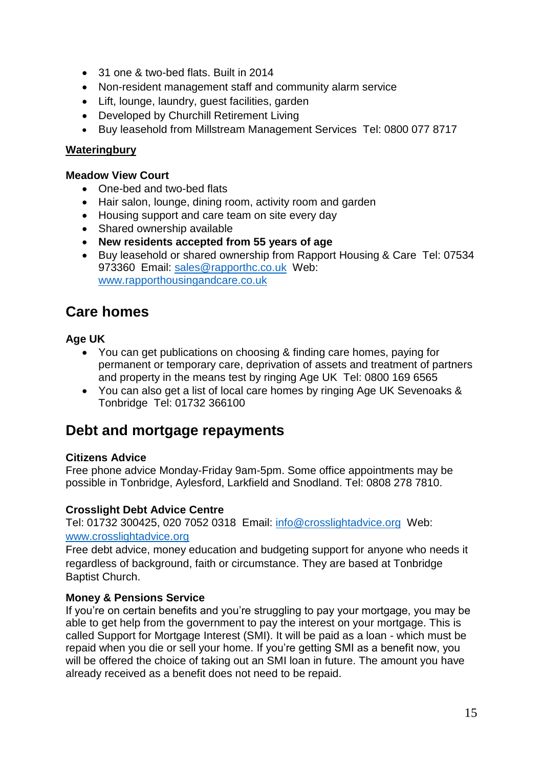- 31 one & two-bed flats. Built in 2014
- Non-resident management staff and community alarm service
- Lift, lounge, laundry, guest facilities, garden
- Developed by [Churchill Retirement Living](http://www.churchillretirement.co.uk/)
- Buy leasehold from Millstream Management Services Tel: 0800 077 8717

# **Wateringbury**

#### **Meadow View Court**

- One-bed and two-bed flats
- Hair salon, lounge, dining room, activity room and garden
- Housing support and care team on site every day
- Shared ownership available
- **New residents accepted from 55 years of age**
- Buy leasehold or shared ownership from Rapport Housing & Care Tel: 07534 973360 Email: [sales@rapporthc.co.uk](mailto:sales@rapporthc.co.uk) Web: [www.rapporthousingandcare.co.uk](http://www.rapporthousingandcare.co.uk/)

# **Care homes**

# **Age UK**

- You can get publications on choosing & finding care homes, paying for permanent or temporary care, deprivation of assets and treatment of partners and property in the means test by ringing Age UK Tel: 0800 169 6565
- You can also get a list of local care homes by ringing Age UK Sevenoaks & Tonbridge Tel: 01732 366100

# **Debt and mortgage repayments**

### **Citizens Advice**

Free phone advice Monday-Friday 9am-5pm. Some office appointments may be possible in Tonbridge, Aylesford, Larkfield and Snodland. Tel: 0808 278 7810.

### **Crosslight Debt Advice Centre**

Tel: 01732 300425, 020 7052 0318 Email: [info@crosslightadvice.org](mailto:info@crosslightadvice.org) Web: [www.crosslightadvice.org](http://www.crosslightadvice.org/)

Free debt advice, money education and budgeting support for anyone who needs it regardless of background, faith or circumstance. They are based at Tonbridge Baptist Church.

# **Money & Pensions Service**

If you're on certain benefits and you're struggling to pay your mortgage, you may be able to get help from the government to pay the interest on your mortgage. This is called Support for Mortgage Interest (SMI). It will be paid as a loan - which must be repaid when you die or sell your home. If you're getting SMI as a benefit now, you will be offered the choice of taking out an SMI loan in future. The amount you have already received as a benefit does not need to be repaid.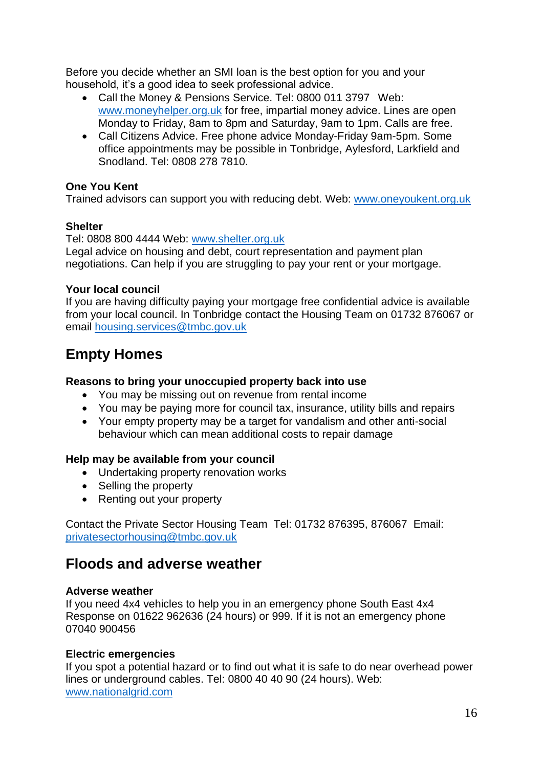Before you decide whether an SMI loan is the best option for you and your household, it's a good idea to seek professional advice.

- Call the Money & Pensions Service. Tel: 0800 011 3797 Web: [www.moneyhelper.org.uk](http://www.moneyhelper.org.uk/) for free, impartial money advice. Lines are open Monday to Friday, 8am to 8pm and Saturday, 9am to 1pm. Calls are free.
- Call Citizens Advice. Free phone advice Monday-Friday 9am-5pm. Some office appointments may be possible in Tonbridge, Aylesford, Larkfield and Snodland. Tel: 0808 278 7810.

#### **One You Kent**

Trained advisors can support you with reducing debt. Web: www.oneyoukent.org.uk

#### **Shelter**

#### Tel: 0808 800 4444 Web: [www.shelter.org.uk](http://www.shelter.org.uk/)

Legal advice on housing and debt, court representation and payment plan negotiations. Can help if you are struggling to pay your rent or your mortgage.

#### **Your local council**

If you are having difficulty paying your mortgage free confidential advice is available from your local council. In Tonbridge contact the Housing Team on 01732 876067 or email housing.services@tmbc.gov.uk

# **Empty Homes**

#### **Reasons to bring your unoccupied property back into use**

- You may be missing out on revenue from rental income
- You may be paying more for council tax, insurance, utility bills and repairs
- Your empty property may be a target for vandalism and other anti-social behaviour which can mean additional costs to repair damage

### **Help may be available from your council**

- Undertaking property renovation works
- Selling the property
- Renting out your property

Contact the Private Sector Housing Team Tel: 01732 876395, 876067 Email: [privatesectorhousing@tmbc.gov.uk](mailto:privatesectorhousing@tmbc.gov.uk)

# **Floods and adverse weather**

#### **Adverse weather**

If you need 4x4 vehicles to help you in an emergency phone South East 4x4 Response on 01622 962636 (24 hours) or 999. If it is not an emergency phone 07040 900456

#### **Electric emergencies**

If you spot a potential hazard or to find out what it is safe to do near overhead power lines or underground cables. Tel: 0800 40 40 90 (24 hours). Web: [www.nationalgrid.com](http://www.nationalgrid.com/)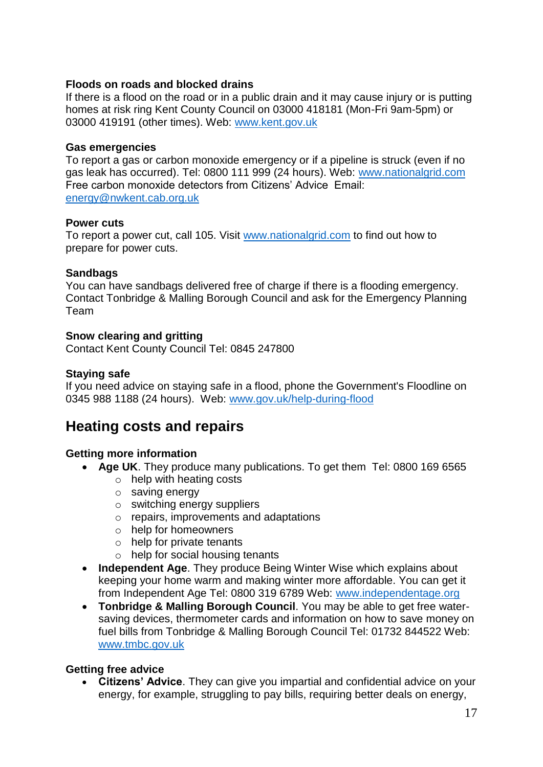#### **Floods on roads and blocked drains**

If there is a flood on the road or in a public drain and it may cause injury or is putting homes at risk ring Kent County Council on 03000 418181 (Mon-Fri 9am-5pm) or 03000 419191 (other times). Web: www.kent.gov.uk

#### **Gas emergencies**

To report a gas or carbon monoxide emergency or if a pipeline is struck (even if no gas leak has occurred). Tel: 0800 111 999 (24 hours). Web: [www.nationalgrid.com](http://www.nationalgrid.com/) Free carbon monoxide detectors from Citizens' Advice Email: [energy@nwkent.cab.org.uk](mailto:energy@nwkent.cab.org.uk)

#### **Power cuts**

To report a power cut, call 105. Visit [www.nationalgrid.com](http://www.nationalgrid.com/) to find out how to prepare for power cuts.

#### **Sandbags**

You can have sandbags delivered free of charge if there is a flooding emergency. Contact Tonbridge & Malling Borough Council and ask for the Emergency Planning Team

### **Snow clearing and gritting**

Contact Kent County Council Tel: 0845 247800

#### **Staying safe**

If you need advice on staying safe in a flood, phone the Government's Floodline on 0345 988 1188 (24 hours). Web: www.gov.uk/help-during-flood

# **Heating costs and repairs**

### **Getting more information**

- **Age UK**. They produce many publications. To get them Tel: 0800 169 6565
	- o help with heating costs
	- o saving energy
	- o switching energy suppliers
	- o repairs, improvements and adaptations
	- o help for homeowners
	- o help for private tenants
	- $\circ$  help for social housing tenants
- **Independent Age**. They produce Being Winter Wise which explains about keeping your home warm and making winter more affordable. You can get it from Independent Age Tel: 0800 319 6789 Web: www.independentage.org
- **Tonbridge & Malling Borough Council**. You may be able to get free watersaving devices, thermometer cards and information on how to save money on fuel bills from Tonbridge & Malling Borough Council Tel: 01732 844522 Web: [www.tmbc.gov.uk](http://www.tmbc.gov.uk/)

### **Getting free advice**

 **Citizens' Advice**. They can give you impartial and confidential advice on your energy, for example, struggling to pay bills, requiring better deals on energy,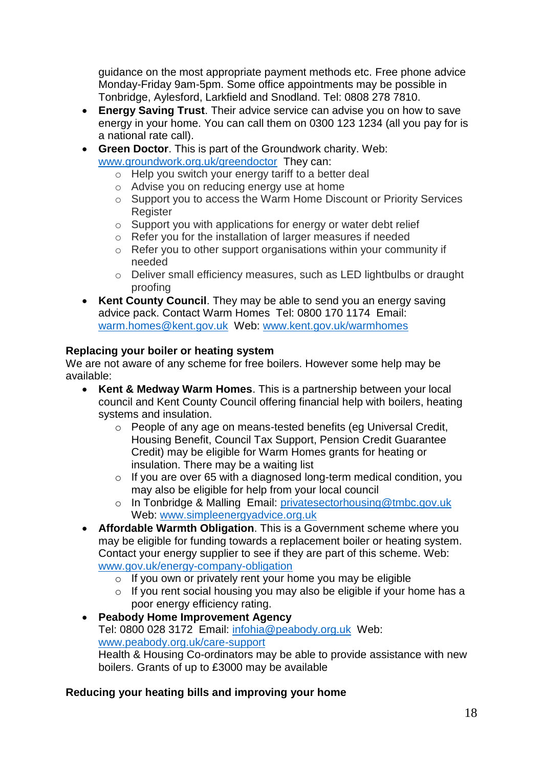guidance on the most appropriate payment methods etc. Free phone advice Monday-Friday 9am-5pm. Some office appointments may be possible in Tonbridge, Aylesford, Larkfield and Snodland. Tel: 0808 278 7810.

- **Energy Saving Trust**. Their advice service can advise you on how to save energy in your home. You can call them on 0300 123 1234 (all you pay for is a national rate call).
- **Green Doctor**. This is part of the Groundwork charity. Web: [www.groundwork.org.uk/greendoctor](http://www.groundwork.org.uk/greendoctor) They can:
	- o Help you switch your energy tariff to a better deal
	- o Advise you on reducing energy use at home
	- o Support you to access the Warm Home Discount or Priority Services Register
	- o Support you with applications for energy or water debt relief
	- o Refer you for the installation of larger measures if needed
	- o Refer you to other support organisations within your community if needed
	- o Deliver small efficiency measures, such as LED lightbulbs or draught proofing
- **Kent County Council**. They may be able to send you an energy saving advice pack. Contact Warm Homes Tel: 0800 170 1174 Email: warm.homes@kent.gov.uk Web: www.kent.gov.uk/warmhomes

# **Replacing your boiler or heating system**

We are not aware of any scheme for free boilers. However some help may be available:

- **Kent & Medway Warm Homes**. This is a partnership between your local council and Kent County Council offering financial help with boilers, heating systems and insulation.
	- o People of any age on means-tested benefits (eg Universal Credit, Housing Benefit, Council Tax Support, Pension Credit Guarantee Credit) may be eligible for Warm Homes grants for heating or insulation. There may be a waiting list
	- o If you are over 65 with a diagnosed long-term medical condition, you may also be eligible for help from your local council
	- o In Tonbridge & Malling Email: [privatesectorhousing@tmbc.gov.uk](mailto:privatesectorhousing@tmbc.gov.uk)  Web: [www.simpleenergyadvice.org.uk](http://www.simpleenergyadvice.org.uk/)
- **Affordable Warmth Obligation**. This is a Government scheme where you may be eligible for funding towards a replacement boiler or heating system. Contact your energy supplier to see if they are part of this scheme. Web: [www.gov.uk/energy-company-obligation](http://www.gov.uk/energy-company-obligation)
	- o If you own or privately rent your home you may be eligible
	- $\circ$  If you rent social housing you may also be eligible if your home has a poor energy efficiency rating.

 **Peabody Home Improvement Agency** Tel: 0800 028 3172 Email: infohia@peabody.org.uk Web: www.peabody.org.uk/care-support Health & Housing Co-ordinators may be able to provide assistance with new boilers. Grants of up to £3000 may be available

### **Reducing your heating bills and improving your home**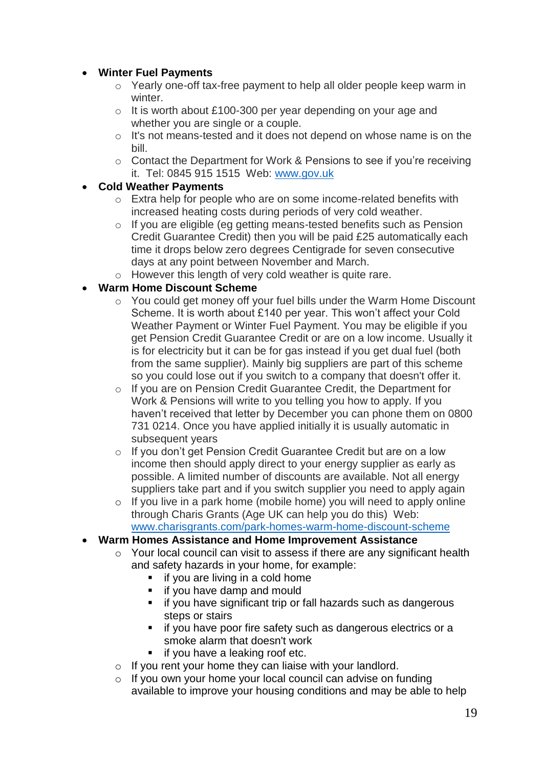# **Winter Fuel Payments**

- o Yearly one-off tax-free payment to help all older people keep warm in winter.
- o It is worth about £100-300 per year depending on your age and whether you are single or a couple.
- o It's not means-tested and it does not depend on whose name is on the bill.
- o Contact the Department for Work & Pensions to see if you're receiving it. Tel: 0845 915 1515 Web: www.gov.uk

### **Cold Weather Payments**

- o Extra help for people who are on some income-related benefits with increased heating costs during periods of very cold weather.
- o If you are eligible (eg getting means-tested benefits such as Pension Credit Guarantee Credit) then you will be paid £25 automatically each time it drops below zero degrees Centigrade for seven consecutive days at any point between November and March.
- o However this length of very cold weather is quite rare.

# **Warm Home Discount Scheme**

- o You could get money off your fuel bills under the Warm Home Discount Scheme. It is worth about £140 per year. This won't affect your Cold Weather Payment or Winter Fuel Payment. You may be eligible if you get Pension Credit Guarantee Credit or are on a low income. Usually it is for electricity but it can be for gas instead if you get dual fuel (both from the same supplier). Mainly big suppliers are part of this scheme so you could lose out if you switch to a company that doesn't offer it.
- o If you are on Pension Credit Guarantee Credit, the Department for Work & Pensions will write to you telling you how to apply. If you haven't received that letter by December you can phone them on 0800 731 0214. Once you have applied initially it is usually automatic in subsequent years
- o If you don't get Pension Credit Guarantee Credit but are on a low income then should apply direct to your energy supplier as early as possible. A limited number of discounts are available. Not all energy suppliers take part and if you switch supplier you need to apply again
- o If you live in a park home (mobile home) you will need to apply online through Charis Grants (Age UK can help you do this) Web: [www.charisgrants.com/park-homes-warm-home-discount-scheme](http://www.charisgrants.com/park-homes-warm-home-discount-scheme)

### **Warm Homes Assistance and Home Improvement Assistance**

- $\circ$  Your local council can visit to assess if there are any significant health and safety hazards in your home, for example:
	- $\blacksquare$  if you are living in a cold home
	- **i** if you have damp and mould
	- **i** if you have significant trip or fall hazards such as dangerous steps or stairs
	- **if you have poor fire safety such as dangerous electrics or a** smoke alarm that doesn't work
	- **if you have a leaking roof etc.**
- $\circ$  If you rent your home they can liaise with your landlord.
- o If you own your home your local council can advise on funding available to improve your housing conditions and may be able to help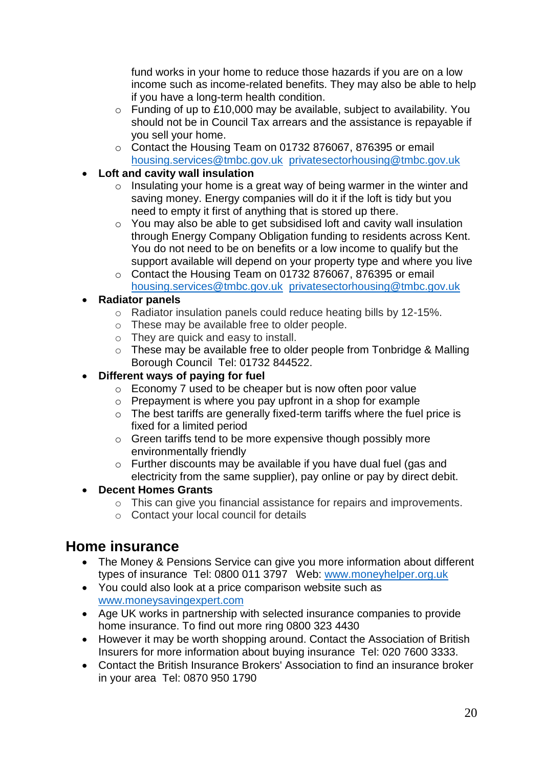fund works in your home to reduce those hazards if you are on a low income such as income-related benefits. They may also be able to help if you have a long-term health condition.

- o Funding of up to £10,000 may be available, subject to availability. You should not be in Council Tax arrears and the assistance is repayable if you sell your home.
- o Contact the Housing Team on 01732 876067, 876395 or email [housing.services@tmbc.gov.uk](mailto:housing.services@tmbc.gov.uk) privatesectorhousing@tmbc.gov.uk
- **Loft and cavity wall insulation**
	- $\circ$  Insulating your home is a great way of being warmer in the winter and saving money. Energy companies will do it if the loft is tidy but you need to empty it first of anything that is stored up there.
	- o You may also be able to get subsidised loft and cavity wall insulation through Energy Company Obligation funding to residents across Kent. You do not need to be on benefits or a low income to qualify but the support available will depend on your property type and where you live
	- o Contact the Housing Team on 01732 876067, 876395 or email [housing.services@tmbc.gov.uk](mailto:housing.services@tmbc.gov.uk) privatesectorhousing@tmbc.gov.uk

# **Radiator panels**

- o Radiator insulation panels could reduce heating bills by 12-15%.
- o These may be available free to older people.
- o They are quick and easy to install.
- $\circ$  These may be available free to older people from Tonbridge & Malling Borough Council Tel: 01732 844522.

# **Different ways of paying for fuel**

- o Economy 7 used to be cheaper but is now often poor value
- o Prepayment is where you pay upfront in a shop for example
- o The best tariffs are generally fixed-term tariffs where the fuel price is fixed for a limited period
- o Green tariffs tend to be more expensive though possibly more environmentally friendly
- o Further discounts may be available if you have dual fuel (gas and electricity from the same supplier), pay online or pay by direct debit.

### **Decent Homes Grants**

- o This can give you financial assistance for repairs and improvements.
- o Contact your local council for details

# **Home insurance**

- The Money & Pensions Service can give you more information about different types of insurance Tel: 0800 011 3797 Web: [www.moneyhelper.org.uk](http://www.moneyhelper.org.uk/)
- You could also look at a price comparison website such as www.moneysavingexpert.com
- Age UK works in partnership with selected insurance companies to provide home insurance. To find out more ring 0800 323 4430
- However it may be worth shopping around. Contact the Association of British Insurers for more information about buying insurance Tel: 020 7600 3333.
- Contact the British Insurance Brokers' Association to find an insurance broker in your area Tel: 0870 950 1790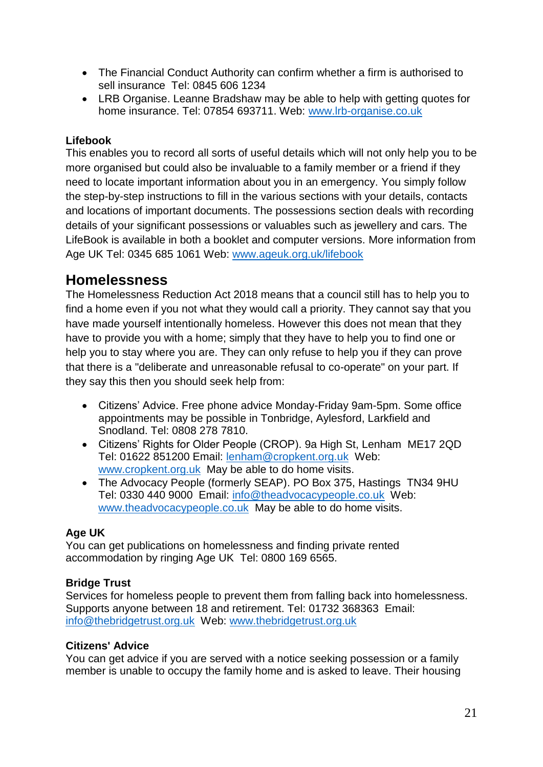- The Financial Conduct Authority can confirm whether a firm is authorised to sell insurance Tel: 0845 606 1234
- LRB Organise. Leanne Bradshaw may be able to help with getting quotes for home insurance. Tel: 07854 693711. Web: [www.lrb-organise.co.uk](http://www.lrb-organise.co.uk/)

### **Lifebook**

This enables you to record all sorts of useful details which will not only help you to be more organised but could also be invaluable to a family member or a friend if they need to locate important information about you in an emergency. You simply follow the step-by-step instructions to fill in the various sections with your details, contacts and locations of important documents. The possessions section deals with recording details of your significant possessions or valuables such as jewellery and cars. The LifeBook is available in both a booklet and computer versions. More information from Age UK Tel: 0345 685 1061 Web: www.ageuk.org.uk/lifebook

# **Homelessness**

The Homelessness Reduction Act 2018 means that a council still has to help you to find a home even if you not what they would call a priority. They cannot say that you have made yourself intentionally homeless. However this does not mean that they have to provide you with a home; simply that they have to help you to find one or help you to stay where you are. They can only refuse to help you if they can prove that there is a "deliberate and unreasonable refusal to co-operate" on your part. If they say this then you should seek help from:

- Citizens' Advice. Free phone advice Monday-Friday 9am-5pm. Some office appointments may be possible in Tonbridge, Aylesford, Larkfield and Snodland. Tel: 0808 278 7810.
- Citizens' Rights for Older People (CROP). 9a High St, Lenham ME17 2QD Tel: 01622 851200 Email: [lenham@cropkent.org.uk](mailto:lenham@cropkent.org.uk) Web: [www.cropkent.org.uk](http://www.cropkent.org.uk/) May be able to do home visits.
- The Advocacy People (formerly SEAP). PO Box 375, Hastings TN34 9HU Tel: 0330 440 9000 Email: [info@theadvocacypeople.co.uk](mailto:info@theadvocacypeople.co.uk) Web: [www.theadvocacypeople.co.uk](http://www.theadvocacypeople.co.uk/) May be able to do home visits.

# **Age UK**

You can get publications on homelessness and finding private rented accommodation by ringing Age UK Tel: 0800 169 6565.

### **Bridge Trust**

Services for homeless people to prevent them from falling back into homelessness. Supports anyone between 18 and retirement. Tel: 01732 368363 Email: info@thebridgetrust.org.uk Web: www.thebridgetrust.org.uk

### **Citizens' Advice**

You can get advice if you are served with a notice seeking possession or a family member is unable to occupy the family home and is asked to leave. Their housing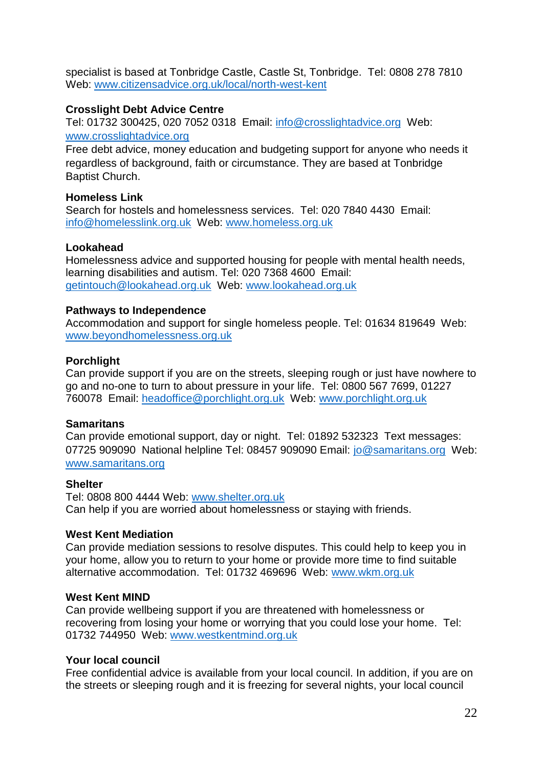specialist is based at Tonbridge Castle, Castle St, Tonbridge. Tel: 0808 278 7810 Web: www.citizensadvice.org.uk/local/north-west-kent

#### **Crosslight Debt Advice Centre**

Tel: 01732 300425, 020 7052 0318 Email: [info@crosslightadvice.org](mailto:info@crosslightadvice.org) Web: [www.crosslightadvice.org](http://www.crosslightadvice.org/)

Free debt advice, money education and budgeting support for anyone who needs it regardless of background, faith or circumstance. They are based at Tonbridge Baptist Church.

#### **Homeless Link**

Search for hostels and homelessness services. Tel: 020 7840 4430 Email: info@homelesslink.org.uk Web: www.homeless.org.uk

#### **Lookahead**

Homelessness advice and supported housing for people with mental health needs, learning disabilities and autism. Tel: 020 7368 4600 Email: getintouch@lookahead.org.uk Web: www.lookahead.org.uk

#### **Pathways to Independence**

Accommodation and support for single homeless people. Tel: 01634 819649 Web: [www.beyondhomelessness.org.uk](http://www.beyondhomelessness.org.uk/)

#### **Porchlight**

Can provide support if you are on the streets, sleeping rough or just have nowhere to go and no-one to turn to about pressure in your life. Tel: 0800 567 7699, 01227 760078 Email: headoffice@porchlight.org.uk Web: www.porchlight.org.uk

#### **Samaritans**

Can provide emotional support, day or night. Tel: 01892 532323 Text messages: 07725 909090 National helpline Tel: 08457 909090 Email: [jo@samaritans.org](mailto:jo@samaritans.org) Web: www.samaritans.org

#### **Shelter**

Tel: 0808 800 4444 Web: [www.shelter.org.uk](http://www.shelter.org.uk/) Can help if you are worried about homelessness or staying with friends.

#### **West Kent Mediation**

Can provide mediation sessions to resolve disputes. This could help to keep you in your home, allow you to return to your home or provide more time to find suitable alternative accommodation. Tel: 01732 469696 Web: www.wkm.org.uk

#### **West Kent MIND**

Can provide wellbeing support if you are threatened with homelessness or recovering from losing your home or worrying that you could lose your home. Tel: 01732 744950 Web: www.westkentmind.org.uk

#### **Your local council**

Free confidential advice is available from your local council. In addition, if you are on the streets or sleeping rough and it is freezing for several nights, your local council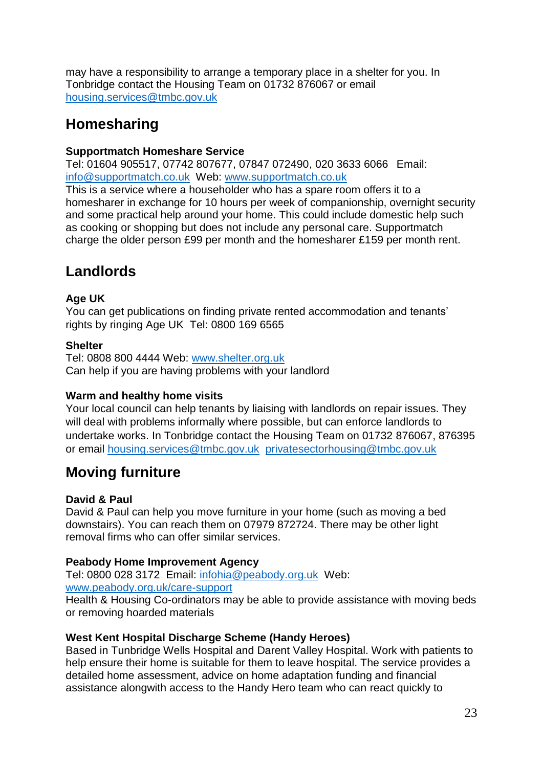may have a responsibility to arrange a temporary place in a shelter for you. In Tonbridge contact the Housing Team on 01732 876067 or email housing.services@tmbc.gov.uk

# **Homesharing**

### **Supportmatch Homeshare Service**

Tel: 01604 905517, 07742 807677, 07847 072490, 020 3633 6066 Email: [info@supportmatch.co.uk](mailto:info@supportmatch.co.uk) Web: [www.supportmatch.co.uk](http://www.supportmatch.co.uk/)

This is a service where a householder who has a spare room offers it to a homesharer in exchange for 10 hours per week of companionship, overnight security and some practical help around your home. This could include domestic help such as cooking or shopping but does not include any personal care. Supportmatch charge the older person £99 per month and the homesharer £159 per month rent.

# **Landlords**

# **Age UK**

You can get publications on finding private rented accommodation and tenants' rights by ringing Age UK Tel: 0800 169 6565

### **Shelter**

Tel: 0808 800 4444 Web: [www.shelter.org.uk](http://www.shelter.org.uk/) Can help if you are having problems with your landlord

### **Warm and healthy home visits**

Your local council can help tenants by liaising with landlords on repair issues. They will deal with problems informally where possible, but can enforce landlords to undertake works. In Tonbridge contact the Housing Team on 01732 876067, 876395 or email housing.services@tmbc.gov.uk privatesectorhousing@tmbc.gov.uk

# **Moving furniture**

### **David & Paul**

David & Paul can help you move furniture in your home (such as moving a bed downstairs). You can reach them on 07979 872724. There may be other light removal firms who can offer similar services.

### **Peabody Home Improvement Agency**

Tel: 0800 028 3172 Email: infohia@peabody.org.uk Web:

www.peabody.org.uk/care-support

Health & Housing Co-ordinators may be able to provide assistance with moving beds or removing hoarded materials

### **West Kent Hospital Discharge Scheme (Handy Heroes)**

Based in Tunbridge Wells Hospital and Darent Valley Hospital. Work with patients to help ensure their home is suitable for them to leave hospital. The service provides a detailed home assessment, advice on home adaptation funding and financial assistance alongwith access to the Handy Hero team who can react quickly to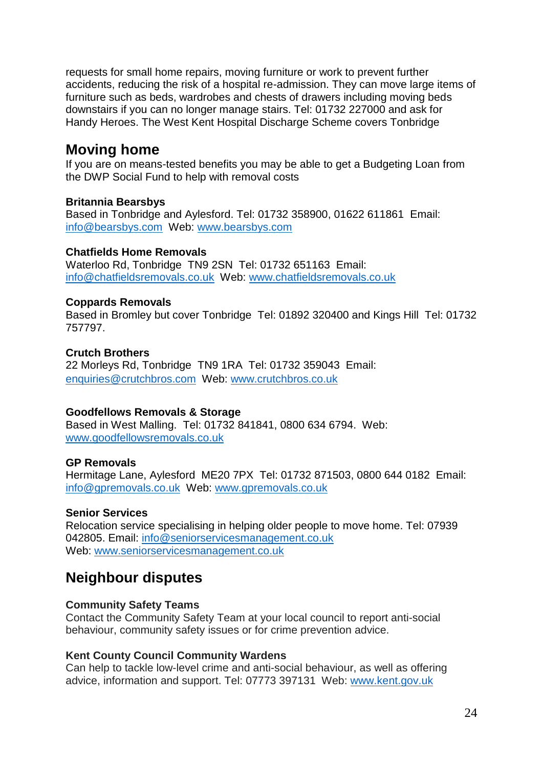requests for small home repairs, moving furniture or work to prevent further accidents, reducing the risk of a hospital re-admission. They can move large items of furniture such as beds, wardrobes and chests of drawers including moving beds downstairs if you can no longer manage stairs. Tel: 01732 227000 and ask for Handy Heroes. The West Kent Hospital Discharge Scheme covers Tonbridge

# **Moving home**

If you are on means-tested benefits you may be able to get a Budgeting Loan from the DWP Social Fund to help with removal costs

### **Britannia Bearsbys**

Based in Tonbridge and Aylesford. Tel: [01732 358900,](tel:01732%20358%20900) 01622 611861 Email: [info@bearsbys.com](mailto:info@bearsbys.com) Web: [www.bearsbys.com](http://www.bearsbys.com/)

#### **Chatfields Home Removals**

Waterloo Rd, Tonbridge TN9 2SN Tel: 01732 651163 Email: [info@chatfieldsremovals.co.uk](mailto:info@chatfieldsremovals.co.uk) Web: [www.chatfieldsremovals.co.uk](http://www.chatfieldsremovals.co.uk/)

### **Coppards Removals**

Based in Bromley but cover Tonbridge Tel: 01892 320400 and Kings Hill Tel: 01732 757797.

#### **Crutch Brothers**

22 Morleys Rd, Tonbridge TN9 1RA Tel: 01732 359043 Email: [enquiries@crutchbros.com](mailto:enquiries@crutchbros.com) Web: www.crutchbros.co.uk

### **Goodfellows Removals & Storage**

Based in West Malling. Tel: 01732 841841, 0800 634 6794. Web: [www.goodfellowsremovals.co.uk](http://www.goodfellowsremovals.co.uk/)

### **GP Removals**

Hermitage Lane, Aylesford ME20 7PX Tel: 01732 871503, 0800 644 0182 Email: [info@gpremovals.co.uk](mailto:info@gpremovals.co.uk) Web: [www.gpremovals.co.uk](http://www.gpremovals.co.uk/)

### **Senior Services**

Relocation service specialising in helping older people to move home. Tel: 07939 042805. Email: info@seniorservicesmanagement.co.uk Web: www.seniorservicesmanagement.co.uk

# **Neighbour disputes**

#### **Community Safety Teams**

Contact the Community Safety Team at your local council to report anti-social behaviour, community safety issues or for crime prevention advice.

#### **Kent County Council Community Wardens**

Can help to tackle low-level crime and anti-social behaviour, as well as offering advice, information and support. Tel: 07773 397131 Web: [www.kent.gov.uk](http://www.kent.gov.uk/)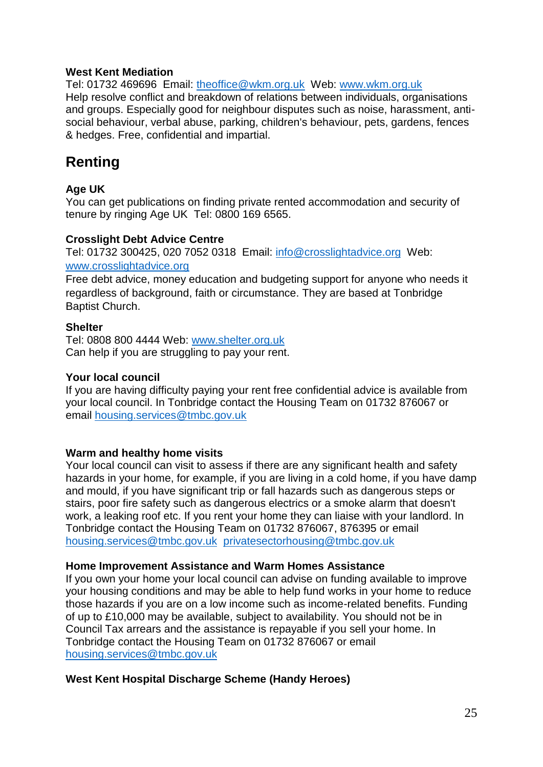#### **West Kent Mediation**

Tel: 01732 469696 Email: [theoffice@wkm.org.uk](mailto:theoffice@wkm.org.uk) Web: www.wkm.org.uk Help resolve conflict and breakdown of relations between individuals, organisations and groups. Especially good for neighbour disputes such as noise, harassment, antisocial behaviour, verbal abuse, parking, children's behaviour, pets, gardens, fences & hedges. Free, confidential and impartial.

# **Renting**

### **Age UK**

You can get publications on finding private rented accommodation and security of tenure by ringing Age UK Tel: 0800 169 6565.

#### **Crosslight Debt Advice Centre**

Tel: 01732 300425, 020 7052 0318 Email: [info@crosslightadvice.org](mailto:info@crosslightadvice.org) Web: [www.crosslightadvice.org](http://www.crosslightadvice.org/)

Free debt advice, money education and budgeting support for anyone who needs it regardless of background, faith or circumstance. They are based at Tonbridge Baptist Church.

#### **Shelter**

Tel: 0808 800 4444 Web: [www.shelter.org.uk](http://www.shelter.org.uk/) Can help if you are struggling to pay your rent.

#### **Your local council**

If you are having difficulty paying your rent free confidential advice is available from your local council. In Tonbridge contact the Housing Team on 01732 876067 or email housing.services@tmbc.gov.uk

### **Warm and healthy home visits**

Your local council can visit to assess if there are any significant health and safety hazards in your home, for example, if you are living in a cold home, if you have damp and mould, if you have significant trip or fall hazards such as dangerous steps or stairs, poor fire safety such as dangerous electrics or a smoke alarm that doesn't work, a leaking roof etc. If you rent your home they can liaise with your landlord. In Tonbridge contact the Housing Team on 01732 876067, 876395 or email [housing.services@tmbc.gov.uk](mailto:housing.services@tmbc.gov.uk) privatesectorhousing@tmbc.gov.uk

#### **Home Improvement Assistance and Warm Homes Assistance**

If you own your home your local council can advise on funding available to improve your housing conditions and may be able to help fund works in your home to reduce those hazards if you are on a low income such as income-related benefits. Funding of up to £10,000 may be available, subject to availability. You should not be in Council Tax arrears and the assistance is repayable if you sell your home. In Tonbridge contact the Housing Team on 01732 876067 or email housing.services@tmbc.gov.uk

### **West Kent Hospital Discharge Scheme (Handy Heroes)**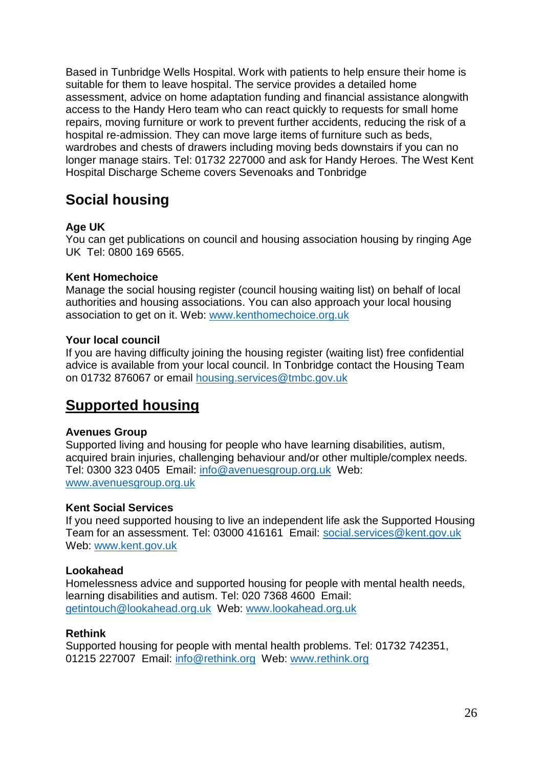Based in Tunbridge Wells Hospital. Work with patients to help ensure their home is suitable for them to leave hospital. The service provides a detailed home assessment, advice on home adaptation funding and financial assistance alongwith access to the Handy Hero team who can react quickly to requests for small home repairs, moving furniture or work to prevent further accidents, reducing the risk of a hospital re-admission. They can move large items of furniture such as beds, wardrobes and chests of drawers including moving beds downstairs if you can no longer manage stairs. Tel: 01732 227000 and ask for Handy Heroes. The West Kent Hospital Discharge Scheme covers Sevenoaks and Tonbridge

# **Social housing**

### **Age UK**

You can get publications on council and housing association housing by ringing Age UK Tel: 0800 169 6565.

### **Kent Homechoice**

Manage the social housing register (council housing waiting list) on behalf of local authorities and housing associations. You can also approach your local housing association to get on it. Web: www.kenthomechoice.org.uk

#### **Your local council**

If you are having difficulty joining the housing register (waiting list) free confidential advice is available from your local council. In Tonbridge contact the Housing Team on 01732 876067 or email housing.services@tmbc.gov.uk

# **Supported housing**

#### **Avenues Group**

Supported living and housing for people who have learning disabilities, autism, acquired brain injuries, challenging behaviour and/or other multiple/complex needs. Tel: 0300 323 0405 Email: info@avenuesgroup.org.uk Web: www.avenuesgroup.org.uk

#### **Kent Social Services**

If you need supported housing to live an independent life ask the Supported Housing Team for an assessment. Tel: 03000 416161 Email: social.services@kent.gov.uk Web: www.kent.gov.uk

### **Lookahead**

Homelessness advice and supported housing for people with mental health needs, learning disabilities and autism. Tel: 020 7368 4600 Email: getintouch@lookahead.org.uk Web: www.lookahead.org.uk

### **Rethink**

Supported housing for people with mental health problems. Tel: 01732 742351, 01215 227007 Email: info@rethink.org Web: www.rethink.org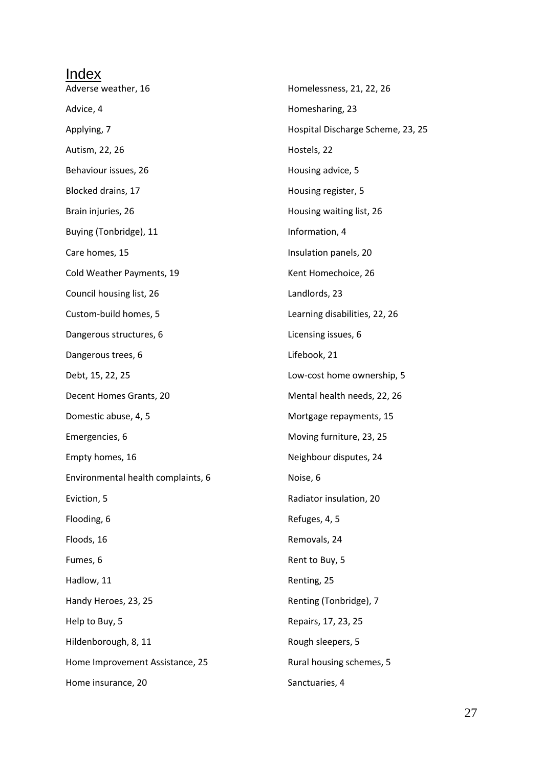| Index                              |                                   |
|------------------------------------|-----------------------------------|
| Adverse weather, 16                | Homelessness, 21, 22, 26          |
| Advice, 4                          | Homesharing, 23                   |
| Applying, 7                        | Hospital Discharge Scheme, 23, 25 |
| Autism, 22, 26                     | Hostels, 22                       |
| Behaviour issues, 26               | Housing advice, 5                 |
| Blocked drains, 17                 | Housing register, 5               |
| Brain injuries, 26                 | Housing waiting list, 26          |
| Buying (Tonbridge), 11             | Information, 4                    |
| Care homes, 15                     | Insulation panels, 20             |
| Cold Weather Payments, 19          | Kent Homechoice, 26               |
| Council housing list, 26           | Landlords, 23                     |
| Custom-build homes, 5              | Learning disabilities, 22, 26     |
| Dangerous structures, 6            | Licensing issues, 6               |
| Dangerous trees, 6                 | Lifebook, 21                      |
| Debt, 15, 22, 25                   | Low-cost home ownership, 5        |
| Decent Homes Grants, 20            | Mental health needs, 22, 26       |
| Domestic abuse, 4, 5               | Mortgage repayments, 15           |
| Emergencies, 6                     | Moving furniture, 23, 25          |
| Empty homes, 16                    | Neighbour disputes, 24            |
| Environmental health complaints, 6 | Noise, 6                          |
| Eviction, 5                        | Radiator insulation, 20           |
| Flooding, 6                        | Refuges, 4, 5                     |
| Floods, 16                         | Removals, 24                      |
| Fumes, 6                           | Rent to Buy, 5                    |
| Hadlow, 11                         | Renting, 25                       |
| Handy Heroes, 23, 25               | Renting (Tonbridge), 7            |
| Help to Buy, 5                     | Repairs, 17, 23, 25               |
| Hildenborough, 8, 11               | Rough sleepers, 5                 |
| Home Improvement Assistance, 25    | Rural housing schemes, 5          |
| Home insurance, 20                 | Sanctuaries, 4                    |